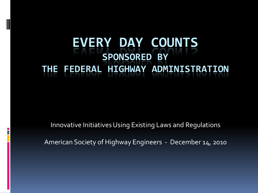### **EVERY DAY COUNTS SPONSORED BY THE FEDERAL HIGHWAY ADMINISTRATION**

Innovative Initiatives Using Existing Laws and Regulations

American Society of Highway Engineers - December 14, 2010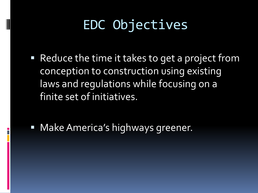## EDC Objectives

■ Reduce the time it takes to get a project from conception to construction using existing laws and regulations while focusing on a finite set of initiatives.

■ Make America's highways greener.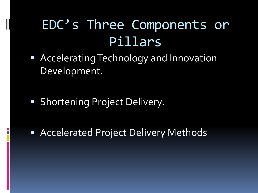## EDC's Three Components or Pillars

- Accelerating Technology and Innovation Development.
- **Shortening Project Delivery.**

**Accelerated Project Delivery Methods**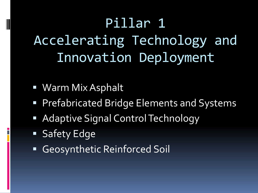# Pillar 1 Accelerating Technology and Innovation Deployment

- Warm Mix Asphalt
- **Prefabricated Bridge Elements and Systems**
- **Adaptive Signal Control Technology**
- **Safety Edge**
- Geosynthetic Reinforced Soil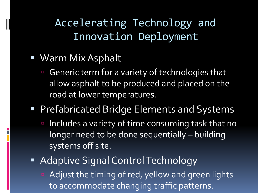Accelerating Technology and Innovation Deployment

- Warm Mix Asphalt
	- **Generic term for a variety of technologies that** allow asphalt to be produced and placed on the road at lower temperatures.
- **Prefabricated Bridge Elements and Systems** 
	- Includes a variety of time consuming task that no longer need to be done sequentially – building systems off site.
- **Adaptive Signal Control Technology** 
	- **E** Adjust the timing of red, yellow and green lights to accommodate changing traffic patterns.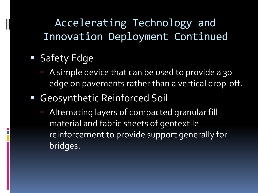Accelerating Technology and Innovation Deployment Continued

**Safety Edge** 

- A simple device that can be used to provide a 30 edge on pavements rather than a vertical drop-off.
- Geosynthetic Reinforced Soil
	- **EXTERNATION EXTENDITION IS Alternating layers of compacted granular fill** material and fabric sheets of geotextile reinforcement to provide support generally for bridges.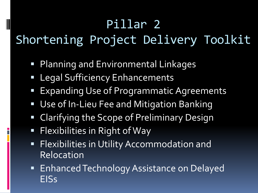### Pillar 2

### Shortening Project Delivery Toolkit

- **Planning and Environmental Linkages**
- Legal Sufficiency Enhancements
- **Expanding Use of Programmatic Agreements**
- Use of In-Lieu Fee and Mitigation Banking
- **Example 2** Clarifying the Scope of Preliminary Design
- **Flexibilities in Right of Way**

- **Flexibilities in Utility Accommodation and** Relocation
- **Enhanced Technology Assistance on Delayed** EISs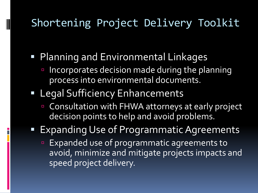#### Shortening Project Delivery Toolkit

- **Planning and Environmental Linkages** 
	- **Incorporates decision made during the planning** process into environmental documents.

#### **Example 2 Legal Sufficiency Enhancements**

- **EX Consultation with FHWA attorneys at early project** decision points to help and avoid problems.
- Expanding Use of Programmatic Agreements
	- **Expanded use of programmatic agreements to** avoid, minimize and mitigate projects impacts and speed project delivery.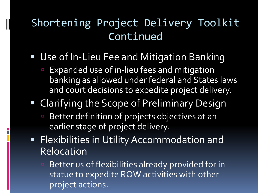### Shortening Project Delivery Toolkit Continued

**Use of In-Lieu Fee and Mitigation Banking** 

- **Expanded use of in-lieu fees and mitigation** banking as allowed under federal and States laws and court decisions to expedite project delivery.
- **Example 3 In the Scope of Preliminary Design** 
	- Better definition of projects objectives at an earlier stage of project delivery.
- **Flexibilities in Utility Accommodation and** Relocation
	- **Better us of flexibilities already provided for in** statue to expedite ROW activities with other project actions.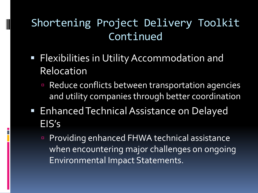### Shortening Project Delivery Toolkit Continued

**Flexibilities in Utility Accommodation and** Relocation

- **Reduce conflicts between transportation agencies** and utility companies through better coordination
- **Enhanced Technical Assistance on Delayed** EIS's
	- **Providing enhanced FHWA technical assistance** when encountering major challenges on ongoing Environmental Impact Statements.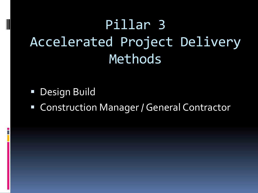## Pillar 3 Accelerated Project Delivery Methods

**Design Build** 

**Example 2 Construction Manager / General Contractor**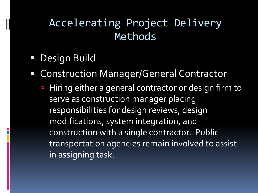#### Accelerating Project Delivery Methods

- **Design Build**
- Construction Manager/General Contractor
	- Hiring either a general contractor or design firm to serve as construction manager placing responsibilities for design reviews, design modifications, system integration, and construction with a single contractor. Public transportation agencies remain involved to assist in assigning task.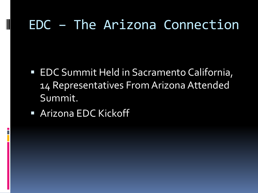### EDC – The Arizona Connection

- EDC Summit Held in Sacramento California, 14 Representatives From Arizona Attended Summit.
- Arizona EDC Kickoff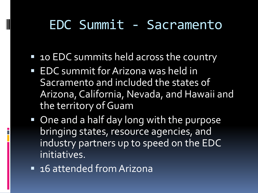### EDC Summit - Sacramento

- 10 EDC summits held across the country
- **EDC** summit for Arizona was held in Sacramento and included the states of Arizona, California, Nevada, and Hawaii and the territory of Guam
- One and a half day long with the purpose bringing states, resource agencies, and industry partners up to speed on the EDC initiatives.
- 16 attended from Arizona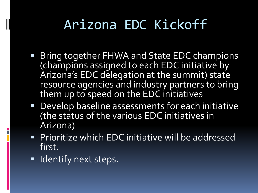## Arizona EDC Kickoff

- **Bring together FHWA and State EDC champions** (champions assigned to each EDC initiative by Arizona's EDC delegation at the summit) state resource agencies and industry partners to bring them up to speed on the EDC initiatives
- Develop baseline assessments for each initiative (the status of the various EDC initiatives in Arizona)
- **Prioritize which EDC initiative will be addressed** first.
- **If** Identify next steps.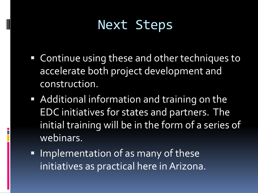### Next Steps

- Continue using these and other techniques to accelerate both project development and construction.
- **Additional information and training on the** EDC initiatives for states and partners. The initial training will be in the form of a series of webinars.
- **Implementation of as many of these** initiatives as practical here in Arizona.